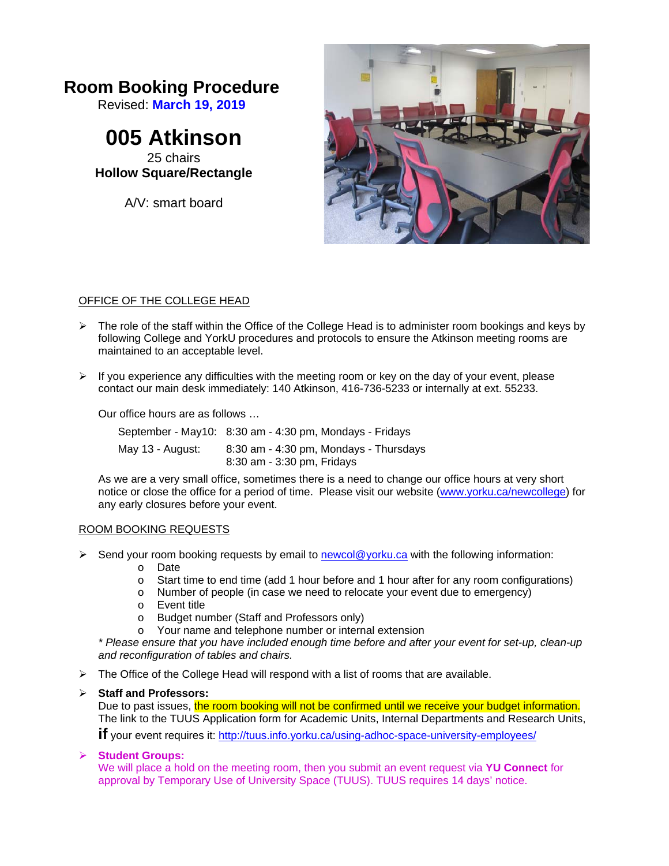# **Room Booking Procedure**

Revised: **March 19, 2019**

**005 Atkinson**  25 chairs

**Hollow Square/Rectangle** 

A/V: smart board



## OFFICE OF THE COLLEGE HEAD

- $\triangleright$  The role of the staff within the Office of the College Head is to administer room bookings and keys by following College and YorkU procedures and protocols to ensure the Atkinson meeting rooms are maintained to an acceptable level.
- $\triangleright$  If you experience any difficulties with the meeting room or key on the day of your event, please contact our main desk immediately: 140 Atkinson, 416-736-5233 or internally at ext. 55233.

Our office hours are as follows …

|                  | September - May10: 8:30 am - 4:30 pm, Mondays - Fridays              |
|------------------|----------------------------------------------------------------------|
| May 13 - August: | 8:30 am - 4:30 pm, Mondays - Thursdays<br>8:30 am - 3:30 pm, Fridays |

As we are a very small office, sometimes there is a need to change our office hours at very short notice or close the office for a period of time. Please visit our website (www.yorku.ca/newcollege) for any early closures before your event.

## ROOM BOOKING REQUESTS

- $\triangleright$  Send your room booking requests by email to newcol@yorku.ca with the following information:
	- o Date
	- o Start time to end time (add 1 hour before and 1 hour after for any room configurations)
	- o Number of people (in case we need to relocate your event due to emergency)
	- o Event title<br>o Budget nu
	- Budget number (Staff and Professors only)
	- o Your name and telephone number or internal extension

*\* Please ensure that you have included enough time before and after your event for set-up, clean-up and reconfiguration of tables and chairs.*

 $\triangleright$  The Office of the College Head will respond with a list of rooms that are available.

## **Staff and Professors:**

Due to past issues, the room booking will not be confirmed until we receive your budget information. The link to the TUUS Application form for Academic Units, Internal Departments and Research Units,

**if** your event requires it: http://tuus.info.yorku.ca/using-adhoc-space-university-employees/

## **Student Groups:**

We will place a hold on the meeting room, then you submit an event request via **YU Connect** for approval by Temporary Use of University Space (TUUS). TUUS requires 14 days' notice.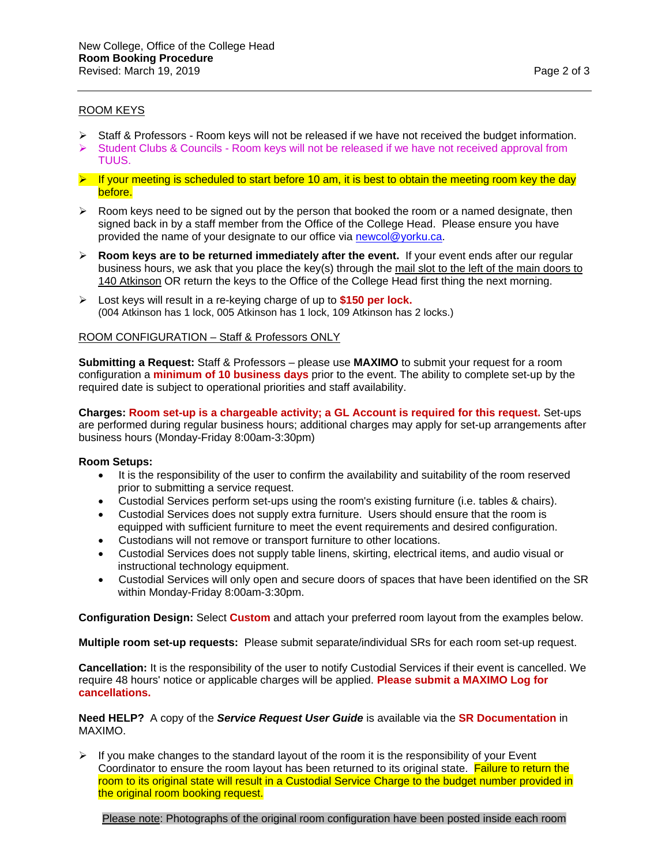#### ROOM KEYS

- $\triangleright$  Staff & Professors Room keys will not be released if we have not received the budget information.
- $\triangleright$  Student Clubs & Councils Room keys will not be released if we have not received approval from TUUS.
- $\triangleright$  If your meeting is scheduled to start before 10 am, it is best to obtain the meeting room key the day before.
- $\triangleright$  Room keys need to be signed out by the person that booked the room or a named designate, then signed back in by a staff member from the Office of the College Head. Please ensure you have provided the name of your designate to our office via newcol@yorku.ca.
- $\triangleright$  **Room keys are to be returned immediately after the event.** If your event ends after our regular business hours, we ask that you place the key(s) through the mail slot to the left of the main doors to 140 Atkinson OR return the keys to the Office of the College Head first thing the next morning.
- Lost keys will result in a re-keying charge of up to **\$150 per lock.** (004 Atkinson has 1 lock, 005 Atkinson has 1 lock, 109 Atkinson has 2 locks.)

#### ROOM CONFIGURATION – Staff & Professors ONLY

**Submitting a Request:** Staff & Professors – please use **MAXIMO** to submit your request for a room configuration a **minimum of 10 business days** prior to the event. The ability to complete set-up by the required date is subject to operational priorities and staff availability.

**Charges: Room set-up is a chargeable activity; a GL Account is required for this request.** Set-ups are performed during regular business hours; additional charges may apply for set-up arrangements after business hours (Monday-Friday 8:00am-3:30pm)

#### **Room Setups:**

- It is the responsibility of the user to confirm the availability and suitability of the room reserved prior to submitting a service request.
- Custodial Services perform set-ups using the room's existing furniture (i.e. tables & chairs).
- Custodial Services does not supply extra furniture. Users should ensure that the room is equipped with sufficient furniture to meet the event requirements and desired configuration.
- Custodians will not remove or transport furniture to other locations.
- Custodial Services does not supply table linens, skirting, electrical items, and audio visual or instructional technology equipment.
- Custodial Services will only open and secure doors of spaces that have been identified on the SR within Monday-Friday 8:00am-3:30pm.

**Configuration Design:** Select **Custom** and attach your preferred room layout from the examples below.

**Multiple room set-up requests:** Please submit separate/individual SRs for each room set-up request.

**Cancellation:** It is the responsibility of the user to notify Custodial Services if their event is cancelled. We require 48 hours' notice or applicable charges will be applied. **Please submit a MAXIMO Log for cancellations.**

**Need HELP?** A copy of the *Service Request User Guide* is available via the **SR Documentation** in MAXIMO.

 $\triangleright$  If you make changes to the standard layout of the room it is the responsibility of your Event Coordinator to ensure the room layout has been returned to its original state. Failure to return the room to its original state will result in a Custodial Service Charge to the budget number provided in the original room booking request.

Please note: Photographs of the original room configuration have been posted inside each room